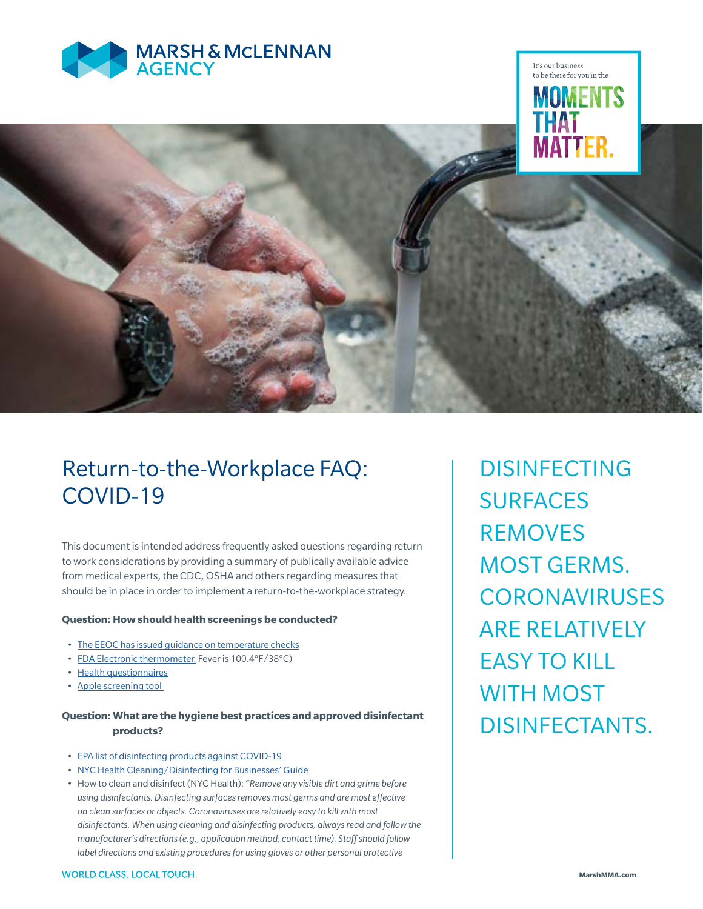



# Return-to-the-Workplace FAQ: COVID-19

This document is intended address frequently asked questions regarding return to work considerations by providing a summary of publically available advice from medical experts, the CDC, OSHA and others regarding measures that should be in place in order to implement a return-to-the-workplace strategy.

#### **Question: How should health screenings be conducted?**

- The EEOC has issued guidance on temperature checks
- FDA Electronic thermometer. Fever is 100.4°F/38°C)
- Health questionnaires
- Apple screening tool

# **Question: What are the hygiene best practices and approved disinfectant products?**

- EPA list of disinfecting products against COVID-19
- NYC Health Cleaning/Disinfecting for Businesses' Guide
- How to clean and disinfect (NYC Health): *"Remove any visible dirt and grime before using disinfectants. Disinfecting surfaces removes most germs and are most effective on clean surfaces or objects. Coronaviruses are relatively easy to kill with most disinfectants. When using cleaning and disinfecting products, always read and follow the manufacturer's directions (e.g., application method, contact time). Staff should follow label directions and existing procedures for using gloves or other personal protective*

DISINFECTING SURFACES REMOVES MOST GERMS. **CORONAVIRUSES** ARE RELATIVELY EASY TO KILL WITH MOST DISINFECTANTS.

It's our business to be there for you in the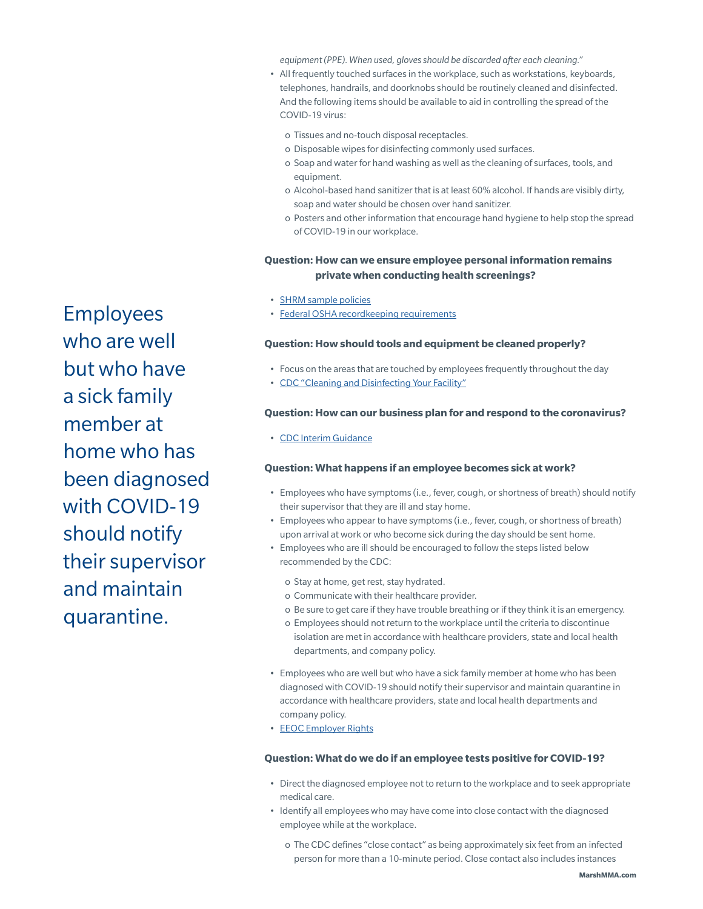*equipment (PPE). When used, gloves should be discarded after each cleaning."*

- All frequently touched surfaces in the workplace, such as workstations, keyboards, telephones, handrails, and doorknobs should be routinely cleaned and disinfected. And the following items should be available to aid in controlling the spread of the COVID-19 virus:
	- o Tissues and no-touch disposal receptacles.
	- o Disposable wipes for disinfecting commonly used surfaces.
	- o Soap and water for hand washing as well as the cleaning of surfaces, tools, and equipment.
	- o Alcohol-based hand sanitizer that is at least 60% alcohol. If hands are visibly dirty, soap and water should be chosen over hand sanitizer.
	- o Posters and other information that encourage hand hygiene to help stop the spread of COVID-19 in our workplace.

## **Question: How can we ensure employee personal information remains private when conducting health screenings?**

- SHRM sample policies
- Federal OSHA recordkeeping requirements

#### **Question: How should tools and equipment be cleaned properly?**

- Focus on the areas that are touched by employees frequently throughout the day
- CDC "Cleaning and Disinfecting Your Facility"

#### **Question: How can our business plan for and respond to the coronavirus?**

• CDC Interim Guidance

#### **Question: What happens if an employee becomes sick at work?**

- Employees who have symptoms (i.e., fever, cough, or shortness of breath) should notify their supervisor that they are ill and stay home.
- Employees who appear to have symptoms (i.e., fever, cough, or shortness of breath) upon arrival at work or who become sick during the day should be sent home.
- Employees who are ill should be encouraged to follow the steps listed below recommended by the CDC:
	- o Stay at home, get rest, stay hydrated.
	- o Communicate with their healthcare provider.
	- o Be sure to get care if they have trouble breathing or if they think it is an emergency.
	- o Employees should not return to the workplace until the criteria to discontinue isolation are met in accordance with healthcare providers, state and local health departments, and company policy.
- Employees who are well but who have a sick family member at home who has been diagnosed with COVID-19 should notify their supervisor and maintain quarantine in accordance with healthcare providers, state and local health departments and company policy.
- EEOC Employer Rights

## **Question: What do we do if an employee tests positive for COVID-19?**

- Direct the diagnosed employee not to return to the workplace and to seek appropriate medical care.
- Identify all employees who may have come into close contact with the diagnosed employee while at the workplace.
	- o The CDC defines "close contact" as being approximately six feet from an infected person for more than a 10-minute period. Close contact also includes instances

Employees who are well but who have a sick family member at home who has been diagnosed with COVID-19 should notify their supervisor and maintain quarantine.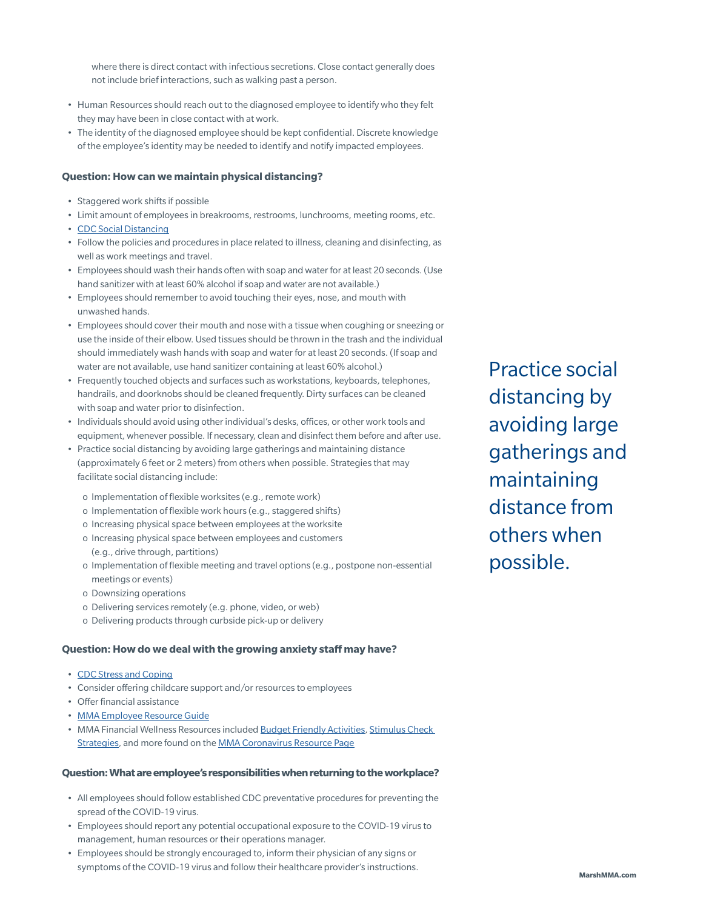where there is direct contact with infectious secretions. Close contact generally does not include brief interactions, such as walking past a person.

- Human Resources should reach out to the diagnosed employee to identify who they felt they may have been in close contact with at work.
- The identity of the diagnosed employee should be kept confidential. Discrete knowledge of the employee's identity may be needed to identify and notify impacted employees.

## **Question: How can we maintain physical distancing?**

- Staggered work shifts if possible
- Limit amount of employees in breakrooms, restrooms, lunchrooms, meeting rooms, etc.
- CDC Social Distancing
- Follow the policies and procedures in place related to illness, cleaning and disinfecting, as well as work meetings and travel.
- Employees should wash their hands often with soap and water for at least 20 seconds. (Use hand sanitizer with at least 60% alcohol if soap and water are not available.)
- Employees should remember to avoid touching their eyes, nose, and mouth with unwashed hands.
- Employees should cover their mouth and nose with a tissue when coughing or sneezing or use the inside of their elbow. Used tissues should be thrown in the trash and the individual should immediately wash hands with soap and water for at least 20 seconds. (If soap and water are not available, use hand sanitizer containing at least 60% alcohol.)
- Frequently touched objects and surfaces such as workstations, keyboards, telephones, handrails, and doorknobs should be cleaned frequently. Dirty surfaces can be cleaned with soap and water prior to disinfection.
- Individuals should avoid using other individual's desks, offices, or other work tools and equipment, whenever possible. If necessary, clean and disinfect them before and after use.
- Practice social distancing by avoiding large gatherings and maintaining distance (approximately 6 feet or 2 meters) from others when possible. Strategies that may facilitate social distancing include:
	- o Implementation of flexible worksites (e.g., remote work)
	- o Implementation of flexible work hours (e.g., staggered shifts)
	- o Increasing physical space between employees at the worksite
	- o Increasing physical space between employees and customers (e.g., drive through, partitions)
	- o Implementation of flexible meeting and travel options (e.g., postpone non-essential meetings or events)
	- o Downsizing operations
	- o Delivering services remotely (e.g. phone, video, or web)
	- o Delivering products through curbside pick-up or delivery

#### **Question: How do we deal with the growing anxiety staff may have?**

- CDC Stress and Coping
- Consider offering childcare support and/or resources to employees
- Offer financial assistance
- MMA Employee Resource Guide
- MMA Financial Wellness Resources included Budget Friendly Activities, Stimulus Check Strategies, and more found on the MMA Coronavirus Resource Page

#### **Question: What are employee's responsibilities when returning to the workplace?**

- All employees should follow established CDC preventative procedures for preventing the spread of the COVID-19 virus.
- Employees should report any potential occupational exposure to the COVID-19 virus to management, human resources or their operations manager.
- Employees should be strongly encouraged to, inform their physician of any signs or symptoms of the COVID-19 virus and follow their healthcare provider's instructions.

Practice social distancing by avoiding large gatherings and maintaining distance from others when possible.